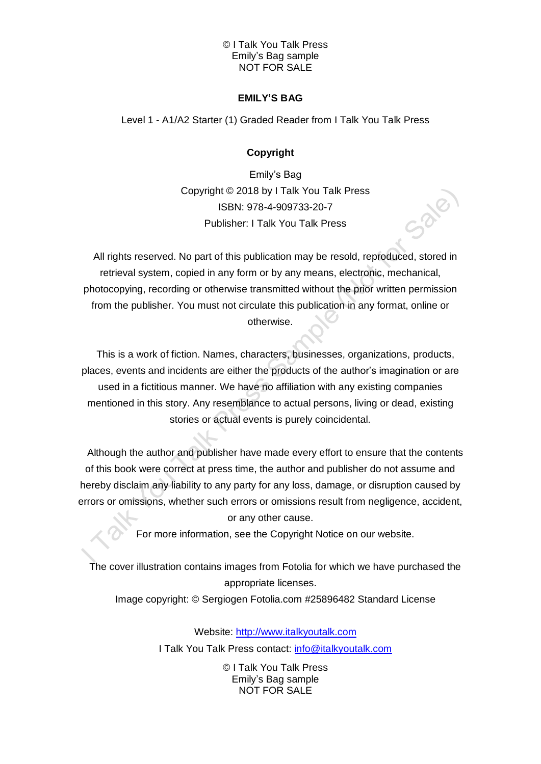#### © I Talk You Talk Press Emily's Bag sample NOT FOR SALE

## **EMILY'S BAG**

Level 1 - A1/A2 Starter (1) Graded Reader from I Talk You Talk Press

# **Copyright**

Emily's Bag Copyright © 2018 by I Talk You Talk Press ISBN: 978-4-909733-20-7 Publisher: I Talk You Talk Press

All rights reserved. No part of this publication may be resold, reproduced, stored in retrieval system, copied in any form or by any means, electronic, mechanical, photocopying, recording or otherwise transmitted without the prior written permission from the publisher. You must not circulate this publication in any format, online or otherwise.

This is a work of fiction. Names, characters, businesses, organizations, products, places, events and incidents are either the products of the author's imagination or are used in a fictitious manner. We have no affiliation with any existing companies mentioned in this story. Any resemblance to actual persons, living or dead, existing stories or actual events is purely coincidental.

Although the author and publisher have made every effort to ensure that the contents of this book were correct at press time, the author and publisher do not assume and hereby disclaim any liability to any party for any loss, damage, or disruption caused by errors or omissions, whether such errors or omissions result from negligence, accident, or any other cause.

For more information, see the Copyright Notice on our website.

The cover illustration contains images from Fotolia for which we have purchased the appropriate licenses.

Image copyright: © Sergiogen Fotolia.com #25896482 Standard License

Website: [http://www.italkyoutalk.com](http://www.italkyoutalk.com/) I Talk You Talk Press contact: [info@italkyoutalk.com](mailto:info@italkyoutalk.com)

> © I Talk You Talk Press Emily's Bag sample NOT FOR SALE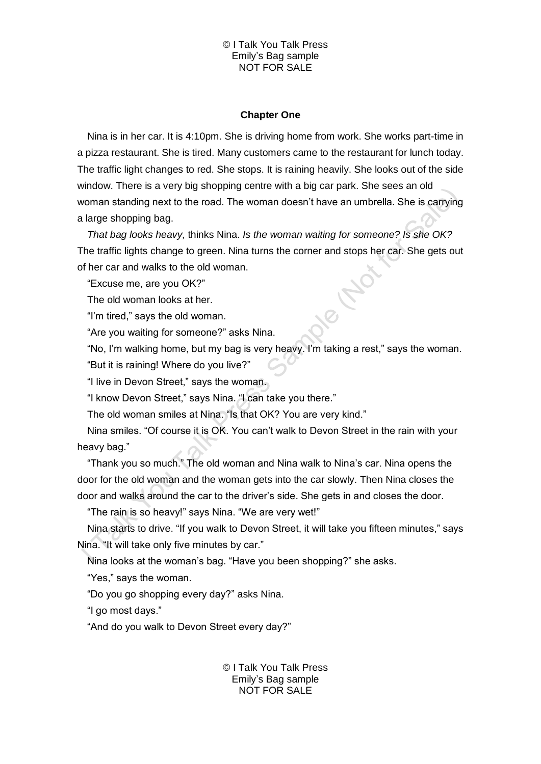#### © I Talk You Talk Press Emily's Bag sample NOT FOR SALE

#### **Chapter One**

Nina is in her car. It is 4:10pm. She is driving home from work. She works part-time in a pizza restaurant. She is tired. Many customers came to the restaurant for lunch today. The traffic light changes to red. She stops. It is raining heavily. She looks out of the side window. There is a very big shopping centre with a big car park. She sees an old woman standing next to the road. The woman doesn't have an umbrella. She is carrying a large shopping bag.

*That bag looks heavy,* thinks Nina. *Is the woman waiting for someone? Is she OK?*  The traffic lights change to green. Nina turns the corner and stops her car. She gets out of her car and walks to the old woman.

"Excuse me, are you OK?"

The old woman looks at her.

"I'm tired," says the old woman.

"Are you waiting for someone?" asks Nina.

"No, I'm walking home, but my bag is very heavy. I'm taking a rest," says the woman.

"But it is raining! Where do you live?"

"I live in Devon Street," says the woman.

"I know Devon Street," says Nina. "I can take you there."

The old woman smiles at Nina. "Is that OK? You are very kind."

Nina smiles. "Of course it is OK. You can't walk to Devon Street in the rain with your heavy bag."

"Thank you so much." The old woman and Nina walk to Nina's car. Nina opens the door for the old woman and the woman gets into the car slowly. Then Nina closes the door and walks around the car to the driver's side. She gets in and closes the door.

"The rain is so heavy!" says Nina. "We are very wet!"

Nina starts to drive. "If you walk to Devon Street, it will take you fifteen minutes," says Nina. "It will take only five minutes by car."

Nina looks at the woman's bag. "Have you been shopping?" she asks.

"Yes," says the woman.

"Do you go shopping every day?" asks Nina.

"I go most days."

"And do you walk to Devon Street every day?"

© I Talk You Talk Press Emily's Bag sample NOT FOR SALE